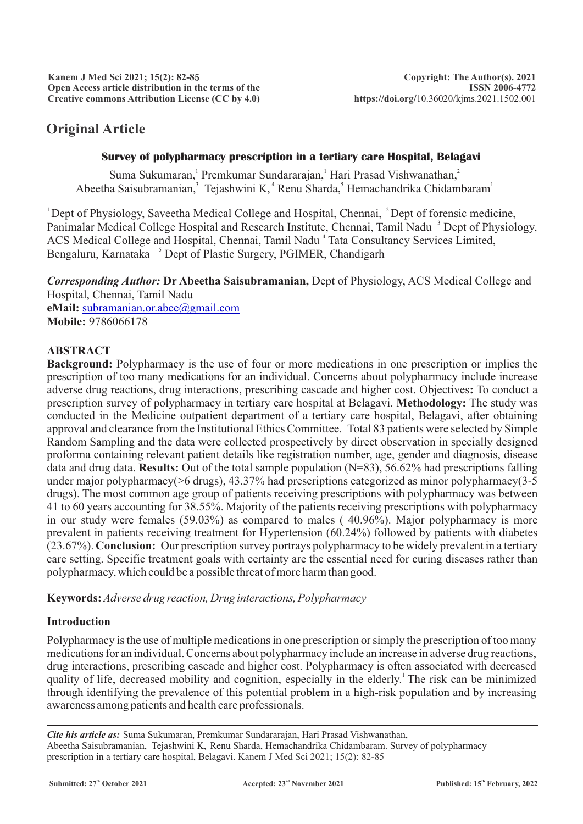# **Original Article**

### **Survey of polypharmacy prescription in a tertiary care Hospital, Belagavi**

Suma Sukumaran,<sup>1</sup> Premkumar Sundararajan,<sup>1</sup> Hari Prasad Vishwanathan,<sup>2</sup> Abeetha Saisubramanian,<sup>3</sup> Tejashwini K,<sup>4</sup> Renu Sharda,<sup>5</sup> Hemachandrika Chidambaram<sup>1</sup>

 $1$  Dept of Physiology, Saveetha Medical College and Hospital, Chennai,  $2$  Dept of forensic medicine, Panimalar Medical College Hospital and Research Institute, Chennai, Tamil Nadu<sup>3</sup> Dept of Physiology, ACS Medical College and Hospital, Chennai, Tamil Nadu<sup>4</sup> Tata Consultancy Services Limited, Bengaluru, Karnataka <sup>5</sup> Dept of Plastic Surgery, PGIMER, Chandigarh

*Corresponding Author:* **Dr Abeetha Saisubramanian,** Dept of Physiology, ACS Medical College and Hospital, Chennai, Tamil Nadu **eMail:** [subramanian.or.abee@gmail.com](mailto:subramanian.or.abee@gmail.com) **Mobile:** 9786066178

### **ABSTRACT**

**Background:** Polypharmacy is the use of four or more medications in one prescription or implies the prescription of too many medications for an individual. Concerns about polypharmacy include increase adverse drug reactions, drug interactions, prescribing cascade and higher cost. Objectives**:** To conduct a prescription survey of polypharmacy in tertiary care hospital at Belagavi. **Methodology:** The study was conducted in the Medicine outpatient department of a tertiary care hospital, Belagavi, after obtaining approval and clearance from the Institutional Ethics Committee. Total 83 patients were selected by Simple Random Sampling and the data were collected prospectively by direct observation in specially designed proforma containing relevant patient details like registration number, age, gender and diagnosis, disease data and drug data. **Results:** Out of the total sample population (N=83), 56.62% had prescriptions falling under major polypharmacy(>6 drugs), 43.37% had prescriptions categorized as minor polypharmacy(3-5 drugs). The most common age group of patients receiving prescriptions with polypharmacy was between 41 to 60 years accounting for 38.55%. Majority of the patients receiving prescriptions with polypharmacy in our study were females (59.03%) as compared to males ( 40.96%). Major polypharmacy is more prevalent in patients receiving treatment for Hypertension (60.24%) followed by patients with diabetes (23.67%). **Conclusion:** Our prescription survey portrays polypharmacy to be widely prevalent in a tertiary care setting. Specific treatment goals with certainty are the essential need for curing diseases rather than polypharmacy, which could be a possible threat of more harm than good.

**Keywords:** *Adverse drug reaction, Drug interactions, Polypharmacy*

# **Introduction**

Polypharmacy is the use of multiple medications in one prescription or simply the prescription of too many medications for an individual. Concerns about polypharmacy include an increase in adverse drug reactions, drug interactions, prescribing cascade and higher cost. Polypharmacy is often associated with decreased quality of life, decreased mobility and cognition, especially in the elderly. The risk can be minimized through identifying the prevalence of this potential problem in a high-risk population and by increasing awareness among patients and health care professionals.

*Cite his article as:* Suma Sukumaran, Premkumar Sundararajan, Hari Prasad Vishwanathan, Abeetha Saisubramanian, Tejashwini K, Renu Sharda, Hemachandrika Chidambaram. Survey of polypharmacy prescription in a tertiary care hospital, Belagavi. Kanem J Med Sci 2021; 15(2): 82-85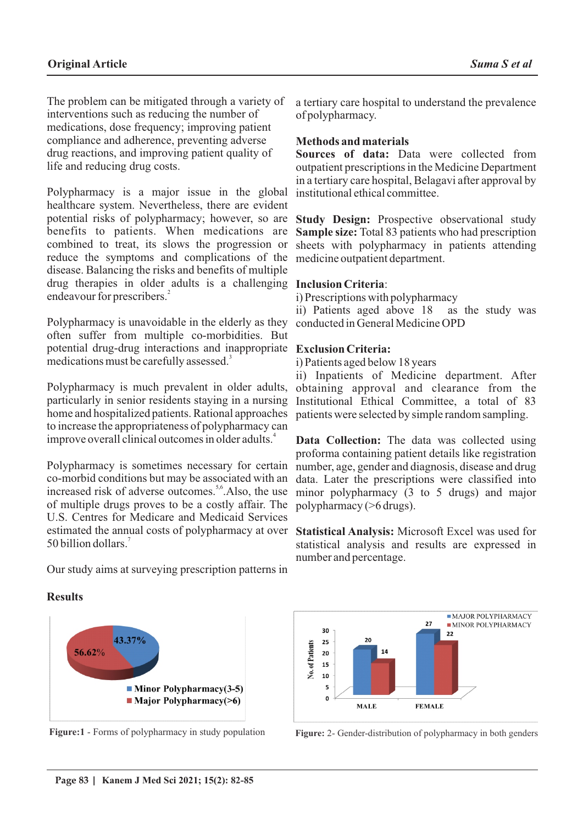The problem can be mitigated through a variety of interventions such as reducing the number of medications, dose frequency; improving patient compliance and adherence, preventing adverse drug reactions, and improving patient quality of life and reducing drug costs.

Polypharmacy is a major issue in the global healthcare system. Nevertheless, there are evident potential risks of polypharmacy; however, so are benefits to patients. When medications are combined to treat, its slows the progression or reduce the symptoms and complications of the disease. Balancing the risks and benefits of multiple drug therapies in older adults is a challenging **Inclusion Criteria**: endeavour for prescribers.<sup>2</sup>

Polypharmacy is unavoidable in the elderly as they often suffer from multiple co-morbidities. But potential drug-drug interactions and inappropriate **Exclusion Criteria:** medications must be carefully assessed.<sup>3</sup>

Polypharmacy is much prevalent in older adults, particularly in senior residents staying in a nursing home and hospitalized patients. Rational approaches to increase the appropriateness of polypharmacy can improve overall clinical outcomes in older adults.<sup>4</sup>

Polypharmacy is sometimes necessary for certain co-morbid conditions but may be associated with an increased risk of adverse outcomes.<sup>5,6</sup> Also, the use of multiple drugs proves to be a costly affair. The U.S. Centres for Medicare and Medicaid Services estimated the annual costs of polypharmacy at over **Statistical Analysis:** Microsoft Excel was used for 7 50 billion dollars.

Our study aims at surveying prescription patterns in

### **Results**



a tertiary care hospital to understand the prevalence of polypharmacy.

### **Methods and materials**

**Sources of data:** Data were collected from outpatient prescriptions in the Medicine Department in a tertiary care hospital, Belagavi after approval by institutional ethical committee.

**Study Design:** Prospective observational study **Sample size:** Total 83 patients who had prescription sheets with polypharmacy in patients attending medicine outpatient department.

i) Prescriptions with polypharmacy ii) Patients aged above 18 as the study was conducted in General Medicine OPD

i) Patients aged below 18 years

ii) Inpatients of Medicine department. After obtaining approval and clearance from the Institutional Ethical Committee, a total of 83 patients were selected by simple random sampling.

**Data Collection:** The data was collected using proforma containing patient details like registration number, age, gender and diagnosis, disease and drug data. Later the prescriptions were classified into minor polypharmacy (3 to 5 drugs) and major polypharmacy (>6 drugs).

statistical analysis and results are expressed in number and percentage.



**Figure:1** - Forms of polypharmacy in study population **Figure:** 2- Gender-distribution of polypharmacy in both genders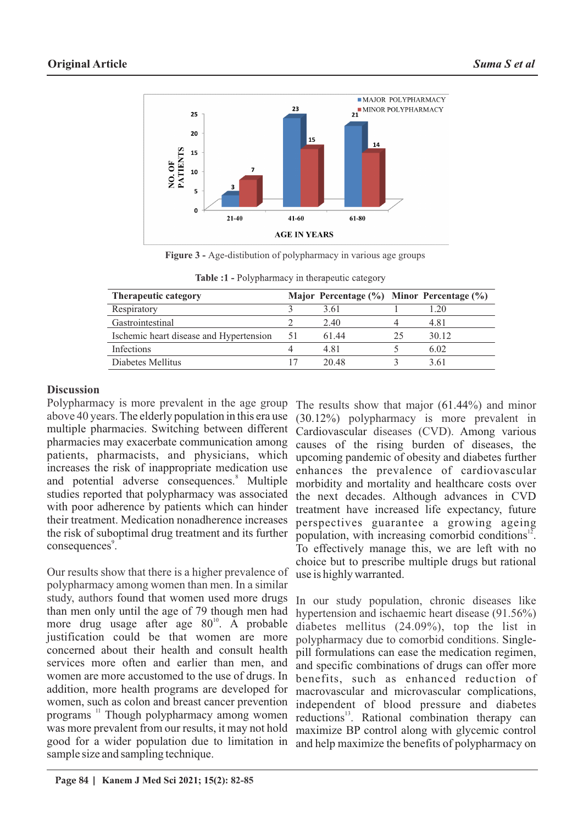

**Figure 3 -** Age-distibution of polypharmacy in various age groups

| <b>Therapeutic category</b>             |     | Major Percentage (%) Minor Percentage (%) |    |       |
|-----------------------------------------|-----|-------------------------------------------|----|-------|
| Respiratory                             |     | 3.61                                      |    | 1.20  |
| Gastrointestinal                        |     | 2.40                                      |    | 4.81  |
| Ischemic heart disease and Hypertension | -51 | 61.44                                     | 25 | 30.12 |
| Infections                              |     | 4.81                                      |    | 6.02  |
| Diabetes Mellitus                       |     | 20.48                                     |    | 3.61  |

**Table :1 - Polypharmacy in therapeutic category** 

### **Discussion**

Polypharmacy is more prevalent in the age group above 40 years.The elderly population in this era use multiple pharmacies. Switching between different pharmacies may exacerbate communication among patients, pharmacists, and physicians, which increases the risk of inappropriate medication use and potential adverse consequences.<sup>8</sup> Multiple studies reported that polypharmacy was associated with poor adherence by patients which can hinder their treatment. Medication nonadherence increases the risk of suboptimal drug treatment and its further consequences<sup>9</sup>.

Our results show that there is a higher prevalence of polypharmacy among women than men. In a similar study, authors found that women used more drugs than men only until the age of 79 though men had more drug usage after age  $80<sup>10</sup>$ . A probable justification could be that women are more concerned about their health and consult health services more often and earlier than men, and women are more accustomed to the use of drugs. In addition, more health programs are developed for women, such as colon and breast cancer prevention programs <sup>11</sup> Though polypharmacy among women was more prevalent from our results, it may not hold good for a wider population due to limitation in sample size and sampling technique.

The results show that major (61.44%) and minor (30.12%) polypharmacy is more prevalent in Cardiovascular diseases (CVD). Among various causes of the rising burden of diseases, the upcoming pandemic of obesity and diabetes further enhances the prevalence of cardiovascular morbidity and mortality and healthcare costs over the next decades. Although advances in CVD treatment have increased life expectancy, future perspectives guarantee a growing ageing population, with increasing comorbid conditions<sup>12</sup>. To effectively manage this, we are left with no choice but to prescribe multiple drugs but rational use is highly warranted.

In our study population, chronic diseases like hypertension and ischaemic heart disease (91.56%) diabetes mellitus (24.09%), top the list in polypharmacy due to comorbid conditions. Singlepill formulations can ease the medication regimen, and specific combinations of drugs can offer more benefits, such as enhanced reduction of macrovascular and microvascular complications, independent of blood pressure and diabetes reductions<sup>13</sup>. Rational combination therapy can maximize BP control along with glycemic control and help maximize the benefits of polypharmacy on